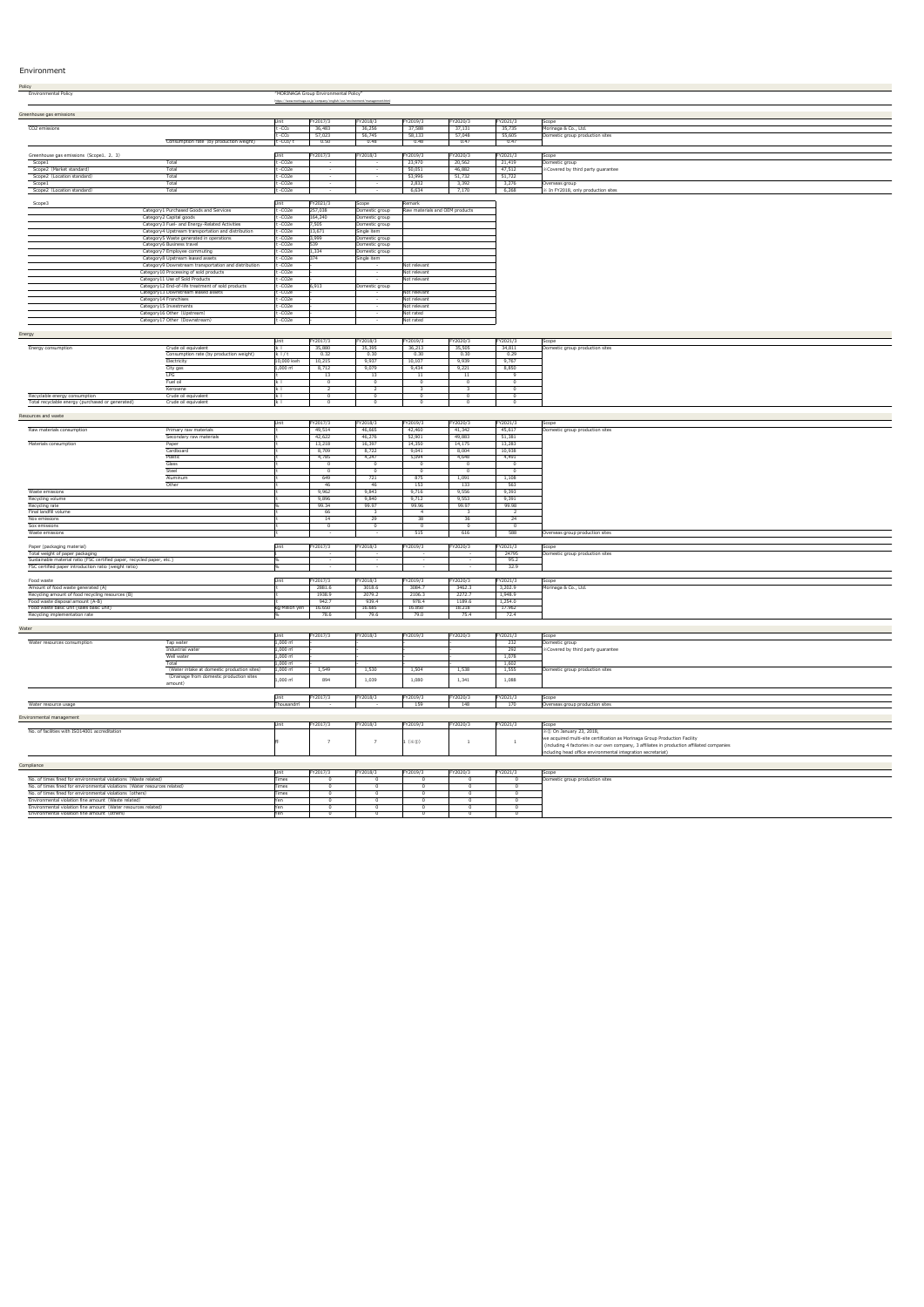# Environment

| Policy                                  |                                                      |                     |                                       |                                                                            |              |                                |          |                                   |  |
|-----------------------------------------|------------------------------------------------------|---------------------|---------------------------------------|----------------------------------------------------------------------------|--------------|--------------------------------|----------|-----------------------------------|--|
| <b>Environmental Policy</b>             |                                                      |                     | "MORINAGA Group Environmental Policy" |                                                                            |              |                                |          |                                   |  |
|                                         |                                                      |                     |                                       | https://www.morinaga.co.jp/company/english/csr/environment/management.html |              |                                |          |                                   |  |
|                                         |                                                      |                     |                                       |                                                                            |              |                                |          |                                   |  |
| Greenhouse gas emissions                |                                                      |                     |                                       |                                                                            |              |                                |          |                                   |  |
|                                         |                                                      | Unit                | FY2017/3                              | FY2018/3                                                                   | FY2019/3     | FY2020/3                       | FY2021/3 | Scope                             |  |
| CO2 emissions                           |                                                      | $t - CO2$           | 36,483                                | 36,256                                                                     | 37,588       | 37,131                         | 35,735   | Morinaga & Co., Ltd.              |  |
|                                         |                                                      | $t - CO2$           | 57,023                                | 56,745                                                                     | 58,133       | 57,048                         | 55,605   | Domestic group production sites   |  |
|                                         | Consumption rate (by production weight)              | $t - CO2/t$         | 0.50                                  | 0.48                                                                       | 0.48         | 0.47                           | 0.47     |                                   |  |
|                                         |                                                      |                     |                                       |                                                                            |              |                                |          |                                   |  |
| Greenhouse gas emissions (Scope1, 2, 3) |                                                      | Unit                | FY2017/3                              | FY2018/3                                                                   | FY2019/3     | FY2020/3                       | FY2021/3 | Scope                             |  |
| Scope1                                  | Total                                                | t-CO2e              |                                       | $\sim$                                                                     | 23,970       | 20,562                         | 21,419   | Domestic group                    |  |
| Scope2 (Market standard)                | Total                                                | t-CO2e              |                                       | $\sim$                                                                     | 50,051       | 46,882                         | 47,512   | XCovered by third party guarantee |  |
| Scope2 (Location standard)              | Total                                                | t-CO2e              | $\sim$ $-$                            | $\sim$                                                                     | 53,996       | 51,732                         | 51,722   |                                   |  |
| Scope1                                  | Total                                                | t-CO <sub>2</sub> e |                                       |                                                                            | 2,832        | 3,392                          | 3,276    | Overseas group                    |  |
| Scope2 (Location standard)              | Total                                                | t-CO2e              |                                       |                                                                            | 6,634        | 7,170                          | 6,268    | In FY2018, only production sites  |  |
|                                         |                                                      |                     |                                       |                                                                            |              |                                |          |                                   |  |
| Scope3                                  |                                                      | Unit                | FY2021/3                              | Scope                                                                      | Remark       |                                |          |                                   |  |
|                                         | Category1 Purchased Goods and Services               | t-CO2e              | 257,038                               | Domestic group                                                             |              | Raw materials and OEM products |          |                                   |  |
|                                         | Category2 Capital goods                              | t-CO <sub>2</sub> e | 164,240                               | Domestic group                                                             |              |                                |          |                                   |  |
|                                         | Category3 Fuel- and Energy-Related Activities        | t-CO2e              | 7,505                                 | Domestic group                                                             |              |                                |          |                                   |  |
|                                         | Category4 Upstream transportation and distribution   | t-CO2e              | 13,671                                | Single item                                                                |              |                                |          |                                   |  |
|                                         | Category5 Waste generated in operations              | t-CO2e              | 3,999                                 | Domestic group                                                             |              |                                |          |                                   |  |
|                                         | Category6 Business travel                            | t-CO2e              | 539                                   | Domestic group                                                             |              |                                |          |                                   |  |
|                                         | Category7 Employee commuting                         | t -CO2e             | 1,334                                 | Domestic group                                                             |              |                                |          |                                   |  |
|                                         | Category8 Upstream leased assets                     | t -CO2e             |                                       | Single item                                                                |              |                                |          |                                   |  |
|                                         | Category9 Downstream transportation and distribution | t-CO2e              |                                       |                                                                            | Not relevant |                                |          |                                   |  |
|                                         | Category10 Processing of sold products               | t-CO2e              |                                       |                                                                            | Not relevant |                                |          |                                   |  |
|                                         | Category11 Use of Sold Products                      | t -CO2e             |                                       |                                                                            | Not relevant |                                |          |                                   |  |
|                                         | Category12 End-of-life treatment of sold products    | t-CO2e              | 6,913                                 | Domestic group                                                             |              |                                |          |                                   |  |
|                                         | Category13 Downstream leased assets                  | t-CO2e              |                                       |                                                                            | Not relevant |                                |          |                                   |  |
|                                         | Category14 Franchises                                | t -CO2e             |                                       | $\overline{\phantom{0}}$                                                   | Not relevant |                                |          |                                   |  |
|                                         | Category15 Investments                               | t -CO2e             |                                       | $\sim$                                                                     | Not relevant |                                |          |                                   |  |
|                                         | Category16 Other (Upstream)                          | t -CO2e             |                                       |                                                                            | Not rated    |                                |          |                                   |  |
|                                         | Category17 Other (Downstream)                        | t-CO2e              |                                       |                                                                            | Not rated    |                                |          |                                   |  |

| <b>Contract</b> | П<br>L | er | € |  |
|-----------------|--------|----|---|--|
|                 |        |    |   |  |

|                                                  |                                         |                       | FY2017/3 | FY2018/3 | FY2019/3 | FY2020/3 | FY2021/3 | Scope                           |
|--------------------------------------------------|-----------------------------------------|-----------------------|----------|----------|----------|----------|----------|---------------------------------|
| Energy consumption                               | Crude oil equivalent                    |                       | 35,880   | 35,395   | 36,213   | 35,505   | 34,811   | Domestic group production sites |
|                                                  | Consumption rate (by production weight) | k   / t               | 0.32     | 0.30     | 0.30     | 0.30     | 0.29     |                                 |
|                                                  | Electricity                             | 10,000 kwh            | 10,215   | 9,937    | 10,107   | 9,939    | 9,767    |                                 |
|                                                  | City gas                                | $1,000 \; \text{m}^2$ | 8,712    | 9,079    | 9,434    | 9,221    | 8,850    |                                 |
|                                                  | LPG                                     |                       |          | 13       |          |          |          |                                 |
|                                                  | Fuel oil                                |                       |          |          |          |          |          |                                 |
|                                                  | Kerosene                                |                       |          |          |          |          |          |                                 |
| Recyclable energy consumption                    | Crude oil equivalent                    |                       |          |          |          |          |          |                                 |
| Total recyclable energy (purchased or generated) | Crude oil equivalent                    |                       |          |          |          |          |          |                                 |

### Resources and waste

|                                                                        |                         | Unit                                            | FY2017/3 | FY2018/3   | FY2019/3       | FY2020/3   | FY2021/3 | Scope                           |
|------------------------------------------------------------------------|-------------------------|-------------------------------------------------|----------|------------|----------------|------------|----------|---------------------------------|
| Raw materials consumption                                              | Primary raw materials   |                                                 | 49,514   | 46,665     | 42,460         | 41,342     | 45,617   | Domestic group production sites |
|                                                                        | Secondary raw materials |                                                 | 42,622   | 46,276     | 52,901         | 49,883     | 51,381   |                                 |
| Materials consumption                                                  | Paper                   |                                                 | 13,218   | 16,397     | 14,350         | 14,175     | 13,283   |                                 |
|                                                                        | Cardboard               |                                                 | 8,709    | 8,722      | 9,041          | 8,004      | 10,938   |                                 |
|                                                                        | Plastic                 |                                                 | 4,785    | 4,247      | 5,094          | 4,648      | 4,491    |                                 |
|                                                                        | Glass                   |                                                 |          |            | $\overline{0}$ |            |          |                                 |
|                                                                        | Steel                   |                                                 |          |            | - 0            |            |          |                                 |
|                                                                        | Aluminum                |                                                 | 649      | 721        | 875            | 1,091      | 1,108    |                                 |
|                                                                        | Other                   |                                                 | 46       | 46         | 153            | 133        | 563      |                                 |
| Waste emissions                                                        |                         |                                                 | 9,962    | 9,843      | 9,716          | 9,556      | 9,393    |                                 |
| Recycling volume                                                       |                         |                                                 | 9,896    | 9,840      | 9,712          | 9,553      | 9,391    |                                 |
| Recycling rate                                                         |                         |                                                 | 99.34    | 99.97      | 99.96          | 99.97      | 99.98    |                                 |
| Final landfill volume                                                  |                         |                                                 | 66       |            |                |            |          |                                 |
| Nox emissions                                                          |                         |                                                 | 14       | 29         | 38             | 36         | 24       |                                 |
| Sox emissions                                                          |                         |                                                 |          |            |                |            |          |                                 |
| Waste emissions                                                        |                         |                                                 | $\sim$   | $\sim$ $-$ | 515            | 616        | 588      | Overseas group production sites |
|                                                                        |                         |                                                 |          |            |                |            |          |                                 |
| Paper (packaging material)                                             |                         | Unit                                            | FY2017/3 | FY2018/3   | FY2019/3       | FY2020/3   | FY2021/3 | Scope                           |
| Total weight of paper packaging                                        |                         |                                                 | $\sim$   | $\sim$     | $\sim$         | $\sim$ $-$ | 24795    | Domestic group production sites |
| Sustainable material ratio (FSC certified paper, recycled paper, etc.) |                         |                                                 |          |            |                |            | 95.2     |                                 |
| FSC certified paper introduction ratio (weight ratio)                  |                         |                                                 | $\sim$   | $\sim$ $-$ | $\sim$         | $\sim$     | 32.9     |                                 |
|                                                                        |                         |                                                 |          |            |                |            |          |                                 |
| Food waste                                                             |                         | Unit                                            | FY2017/3 | FY2018/3   | FY2019/3       | FY2020/3   | FY2021/3 | Scope                           |
| Amount of food waste generated (A)                                     |                         |                                                 | 2881.6   | 3018.6     | 3084.7         | 3462.3     | 3,202.9  | Morinaga & Co., Ltd.            |
| Recycling amount of food recycling resources (B)                       |                         |                                                 | 1938.9   | 2079.2     | 2106.3         | 2272.7     | 1,948.9  |                                 |
| Food waste disposal amount (A-B)                                       |                         |                                                 | 942.7    | 939.4      | 978.4          | 1189.6     | 1,254.0  |                                 |
| Food waste basic unit (sales basic unit)                               |                         | kg/Million yen                                  | 16.650   | 16.685     | 16.850         | 18.218     | 17.962   |                                 |
| Recycling implementation rate                                          |                         |                                                 | 78.6     | 79.6       | 79.0           | 75.4       | 72.4     |                                 |
|                                                                        |                         |                                                 |          |            |                |            |          |                                 |
| Water                                                                  |                         |                                                 |          |            |                |            |          |                                 |
|                                                                        |                         | Unit                                            | FY2017/3 | FY2018/3   | FY2019/3       | FY2020/3   | FY2021/3 | Scope                           |
| Water resources consumption                                            | Tap water               | $1,000$ $\mathsf{m}^{\scriptscriptstyle{\dag}}$ |          |            |                |            | 232      | Domestic group                  |

|                      |           | FY2017/3 | FY2018/? | FY2019/3 | T100001<br>FY2020/ | $\sqrt{\frac{FY2021}{g}}$ | Scope                           |
|----------------------|-----------|----------|----------|----------|--------------------|---------------------------|---------------------------------|
| Water resource usage | Thousandm |          |          | 159      | 148                | 170                       | Overseas group production sites |

#### Environmental management

|                                               | FY2017/3 | FY2018/3 | FY2019/3                     | FY2020/3 | FY2021/3 | <b>Scope</b>                                                                               |
|-----------------------------------------------|----------|----------|------------------------------|----------|----------|--------------------------------------------------------------------------------------------|
| No. of facilities with ISO14001 accreditation |          |          |                              |          |          | <sup>2</sup> (1) On January 23, 2018,                                                      |
|                                               |          |          |                              |          |          | we acquired multi-site certification as Morinaga Group Production Facility                 |
|                                               |          |          | $\Box$ $\Box$ $(\mathbb{X})$ |          |          | (including 4 factories in our own company, 3 affiliates in production affiliated companies |
|                                               |          |          |                              |          |          | including head office environmental integration secretariat)                               |

### **Compliance**

| Industrial water                                   | $1,000$ m                      |       |       |       |       | $\sim$ | $\mathbb X$ Covered by third party guarantee |
|----------------------------------------------------|--------------------------------|-------|-------|-------|-------|--------|----------------------------------------------|
| Well water                                         | 1,000 m๋                       |       |       |       |       | 1,070  |                                              |
|                                                    | $1,000 \; \text{m}^2$          |       |       |       |       | 1,602  |                                              |
| (Water intake at domestic production sites)        | $1,000 \text{ m}^3$            | 1,549 | 1,530 | 1,504 | 1,538 | 1,555  | omestic group production sites               |
| (Drainage from domestic production sites<br>amount | $1,000$ $\mathsf{m}^{\dagger}$ |       | 1,039 | 1,080 | 1,341 | 1,088  |                                              |

|                                                                           |              | FY2017/3 | FY2018/3 | FY2019/3 | FY2020/3 | FY2021/3 | <b>Scope</b>                    |
|---------------------------------------------------------------------------|--------------|----------|----------|----------|----------|----------|---------------------------------|
| No. of times fined for environmental violations (Waste related)           | Fimes        |          |          |          |          |          | Domestic group production sites |
| No. of times fined for environmental violations (Water resources related) |              |          |          |          |          |          |                                 |
| No. of times fined for environmental violations (others)                  | <b>Times</b> |          |          |          |          |          |                                 |
| Environmental violation fine amount (Waste related)                       |              |          |          |          |          |          |                                 |
| Environmental violation fine amount (Water resources related)             |              |          |          |          |          |          |                                 |
| Environmental violation fine amount (others)                              |              |          |          |          |          |          |                                 |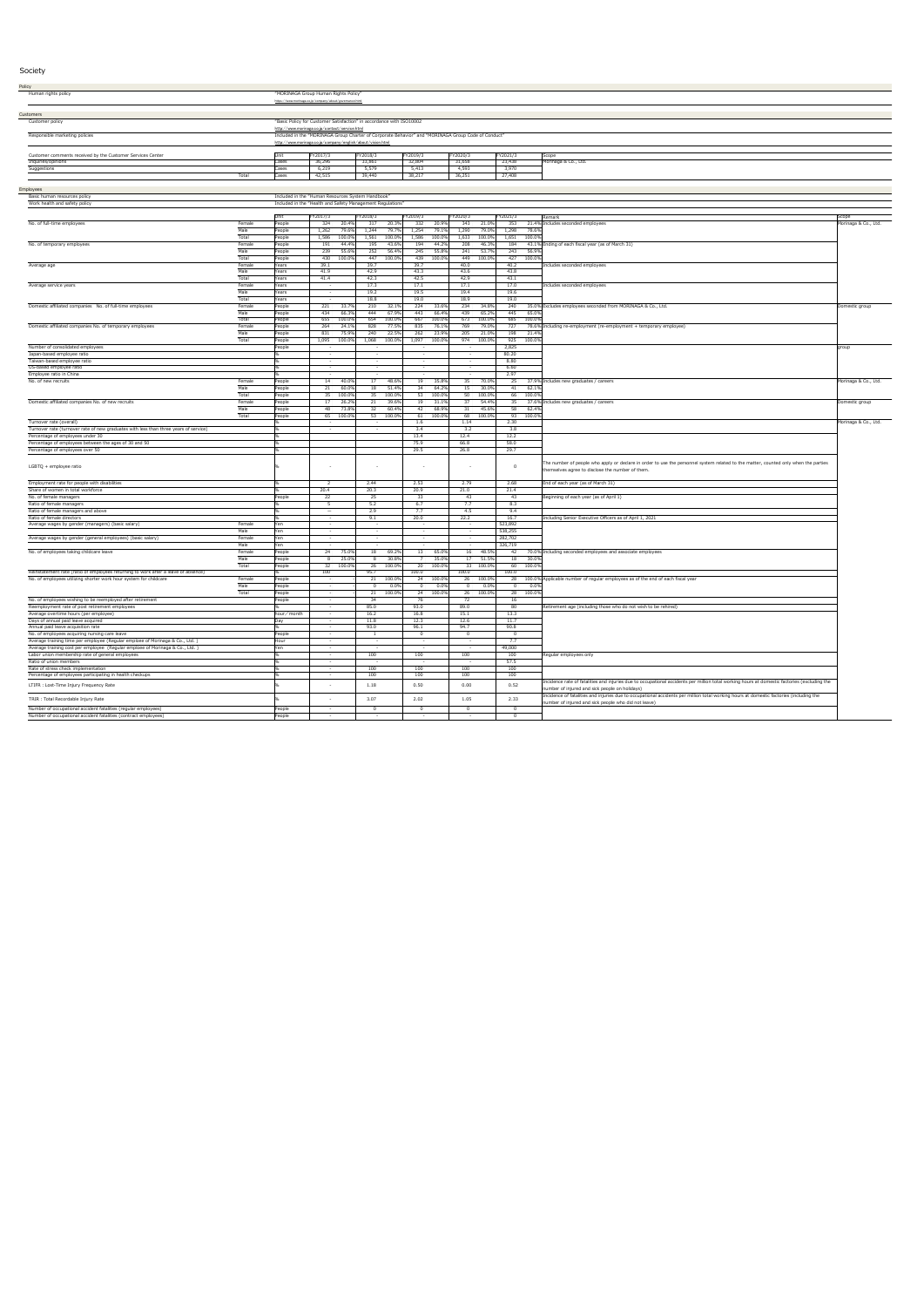| <b>Policy</b>                                                                                                                    |                 |                  |                                                                                                                                                                            |                                      |                 |                    |                              |                    |                    |                       |                                                                                                                                                                                                |                      |
|----------------------------------------------------------------------------------------------------------------------------------|-----------------|------------------|----------------------------------------------------------------------------------------------------------------------------------------------------------------------------|--------------------------------------|-----------------|--------------------|------------------------------|--------------------|--------------------|-----------------------|------------------------------------------------------------------------------------------------------------------------------------------------------------------------------------------------|----------------------|
| Human rights policy                                                                                                              |                 |                  | "MORINAGA Group Human Rights Policy"                                                                                                                                       |                                      |                 |                    |                              |                    |                    |                       |                                                                                                                                                                                                |                      |
|                                                                                                                                  |                 |                  | https://www.morinaga.co.jp/company/about/governance.html                                                                                                                   |                                      |                 |                    |                              |                    |                    |                       |                                                                                                                                                                                                |                      |
| Customers                                                                                                                        |                 |                  |                                                                                                                                                                            |                                      |                 |                    |                              |                    |                    |                       |                                                                                                                                                                                                |                      |
| Customer policy                                                                                                                  |                 |                  | "Basic Policy for Customer Satisfaction" in accordance with ISO10002                                                                                                       |                                      |                 |                    |                              |                    |                    |                       |                                                                                                                                                                                                |                      |
|                                                                                                                                  |                 |                  | http://www.morinaga.co.jp/contact/service.html                                                                                                                             |                                      |                 |                    |                              |                    |                    |                       |                                                                                                                                                                                                |                      |
| Responsible marketing policies                                                                                                   |                 |                  | Included in the "MORINAGA Group Charter of Corporate Behavior" and "MORINAGA Group Code of Conduct"<br><u> http://www.morinaga.co.jp/company/english/about/vision.html</u> |                                      |                 |                    |                              |                    |                    |                       |                                                                                                                                                                                                |                      |
|                                                                                                                                  |                 |                  |                                                                                                                                                                            |                                      |                 |                    |                              |                    |                    |                       |                                                                                                                                                                                                |                      |
| Customer comments received by the Customer Services Center                                                                       |                 | Unit             | FY2017/3                                                                                                                                                                   | FY2018/3                             | FY2019/3        |                    | FY2020/3                     |                    | FY2021/3           |                       | Scope                                                                                                                                                                                          |                      |
| Inquiries/opinions<br>Suggestions                                                                                                |                 | Cases<br>Cases   | 36,296<br>6,219                                                                                                                                                            | 33,861<br>5,579                      | 32,804<br>5,413 |                    | 31,658<br>4,593              |                    | 23,438<br>3,970    |                       | Morinaga & Co., Ltd.                                                                                                                                                                           |                      |
|                                                                                                                                  | Total           | Cases            | 42,515                                                                                                                                                                     | 39,440                               | 38,217          |                    | 36,251                       |                    | 27,408             |                       |                                                                                                                                                                                                |                      |
|                                                                                                                                  |                 |                  |                                                                                                                                                                            |                                      |                 |                    |                              |                    |                    |                       |                                                                                                                                                                                                |                      |
| Employees                                                                                                                        |                 |                  |                                                                                                                                                                            |                                      |                 |                    |                              |                    |                    |                       |                                                                                                                                                                                                |                      |
| Basic human resources policy<br>Work health and safety policy                                                                    |                 |                  | Included in the "Human Resources System Handbook"<br>Included in the "Health and Safety Management Regulations"                                                            |                                      |                 |                    |                              |                    |                    |                       |                                                                                                                                                                                                |                      |
|                                                                                                                                  |                 |                  |                                                                                                                                                                            |                                      |                 |                    |                              |                    |                    |                       |                                                                                                                                                                                                |                      |
|                                                                                                                                  |                 | Unit             | FY2017/3                                                                                                                                                                   | FY2018/3                             | FY2019/3        |                    | FY2020/3                     |                    | FY2021/3           |                       | Remark                                                                                                                                                                                         | Scope                |
| No. of full-time employees                                                                                                       | Female          | People           | 324<br>20.4%                                                                                                                                                               | 317<br>20.3%                         | 332             | 20.9%              | 343                          | 21.0%              | 353                |                       | 21.4% Includes seconded employees                                                                                                                                                              | Morinaga & Co., Ltd. |
|                                                                                                                                  | Male<br>Total   | People<br>People | 1,262<br>79.6%<br>100.0%<br>1,586                                                                                                                                          | 79.7%<br>1,244<br>$100.0\%$<br>1,561 | 1,254<br>1,586  | 79.1%<br>$100.0\%$ | 1,290<br>1,633 100.0%        | 79.0%              | 1,298              | 78.6%<br>1,651 100.0% |                                                                                                                                                                                                |                      |
| No. of temporary employees                                                                                                       | Female          | People           | 191<br>44.4%                                                                                                                                                               | 195<br>43.6%                         | 194             | 44.2%              | 208                          | 46.3%              | 184                |                       | 43.1% Ending of each fiscal year (as of March 31)                                                                                                                                              |                      |
|                                                                                                                                  | Male            | People           | 239<br>55.6%                                                                                                                                                               | 252<br>56.4%                         | 245             | 55.8%              | 241                          | 53.7%              | 243                | 56.9%                 |                                                                                                                                                                                                |                      |
|                                                                                                                                  | Total           | People           | 430 100.0%                                                                                                                                                                 | 447 100.0%                           |                 | 439 100.0%         | 449 100.0%                   |                    |                    | 427 100.0%            |                                                                                                                                                                                                |                      |
| Average age                                                                                                                      | Female<br>Male  | Years<br>Years   | 39.1<br>41.9                                                                                                                                                               | 39.7<br>42.9                         | 39.7<br>43.3    |                    | 40.0<br>43.6                 |                    | 40.2<br>43.8       |                       | Includes seconded employees                                                                                                                                                                    |                      |
|                                                                                                                                  | Total           | Years            | 41.4                                                                                                                                                                       | 42.3                                 | 42.5            |                    | 42.9                         |                    | 43.1               |                       |                                                                                                                                                                                                |                      |
| Average service years                                                                                                            | Female          | Years            | $\sim$                                                                                                                                                                     | 17.3                                 | 17.1            |                    | 17.1                         |                    | 17.0               |                       | Includes seconded employees                                                                                                                                                                    |                      |
|                                                                                                                                  | Male            | Years            | $\sim$                                                                                                                                                                     | 19.2                                 | 19.5            |                    | 19.4                         |                    | 19.6               |                       |                                                                                                                                                                                                |                      |
| Domestic affiliated companies No. of full-time employees                                                                         | Total<br>Female | Years<br>People  | 33.7%<br>221                                                                                                                                                               | 18.8<br>210<br>32.1%                 | 19.0<br>224     | 33.6%              | 18.9<br>234                  | 34.8%              | 19.0<br>240        |                       | 35.0% Excludes employees seconded from MORINAGA & Co., Ltd.                                                                                                                                    | Domestic group       |
|                                                                                                                                  | Male            | People           | 434<br>66.3%                                                                                                                                                               | 67.9%<br>444                         | 443             | 66.4%              | 439                          | 65.2%              | 445                | 65.0%                 |                                                                                                                                                                                                |                      |
|                                                                                                                                  | Total           | People           | 655<br>100.0%                                                                                                                                                              | 654<br>100.0%                        | 667             | 100.0%             | 673                          | $100.0\%$          | 685                | 100.0%                |                                                                                                                                                                                                |                      |
| Domestic affiliated companies No. of temporary employees                                                                         | Female          | People           | 24.19<br>264                                                                                                                                                               | 828<br>77.5%<br>240                  | 835             | 76.1°              | 769                          | 79.0%              | 727                |                       | 78.6% Including re-employment (re-employment + temporary employee)                                                                                                                             |                      |
|                                                                                                                                  | Male<br>Total   | People<br>People | 831<br>75.9%<br>1,095<br>100.0%                                                                                                                                            | 22.5%<br>1,068<br>100.0%             | 262<br>1,097    | 23.9%<br>100.0%    | 205<br>974                   | 21.0%<br>$100.0\%$ | 198<br>925         | 21.4%<br>100.0%       |                                                                                                                                                                                                |                      |
| Number of consolidated employees                                                                                                 |                 | People           |                                                                                                                                                                            |                                      |                 |                    |                              |                    | 2,825              |                       |                                                                                                                                                                                                | <b>group</b>         |
| Japan-based employee ratio                                                                                                       |                 |                  | $\sim$                                                                                                                                                                     | $\sim$                               | $\sim$          |                    |                              |                    | 80.20              |                       |                                                                                                                                                                                                |                      |
| Taiwan-based employee ratio                                                                                                      |                 |                  |                                                                                                                                                                            |                                      |                 |                    |                              |                    | 8.80               |                       |                                                                                                                                                                                                |                      |
| US-based employee ratio<br>Employee ratio in China                                                                               |                 |                  |                                                                                                                                                                            | $\sim$                               | $\sim$          |                    | $\sim$                       |                    | 6.60<br>2.97       |                       |                                                                                                                                                                                                |                      |
| No. of new recruits                                                                                                              | Female          | People           | 40.0%<br>14                                                                                                                                                                | 17 <sup>1</sup><br>48.6%             | 19              | 35.8%              | 35                           | 70.0%              |                    |                       | 25 37.9% Includes new graduates / careers                                                                                                                                                      | Morinaga & Co., Ltd. |
|                                                                                                                                  | Male            | People           | $60.0\%$<br>21                                                                                                                                                             | 51.4%<br>18                          | 34              | 64.2%              | 15                           | 30.0%              | 41                 | 62.1%                 |                                                                                                                                                                                                |                      |
| Domestic affiliated companies No. of new recruits                                                                                | Total<br>Female | People<br>People | 35 100.0%<br>26.29<br>17                                                                                                                                                   | 35 100.0%<br>39.6%<br>21             | 19              | 53 100.0%<br>31.19 | 50 100.0%<br>37 <sup>2</sup> | 54.4%              |                    | 66 100.0%             | 35 37.6% Includes new graduates / careers                                                                                                                                                      | Domestic group       |
|                                                                                                                                  | Male            | People           | 73.8%<br>48                                                                                                                                                                | 32<br>60.4%                          | 42              | 68.9%              | 31 45.6%                     |                    | 58                 | 62.4%                 |                                                                                                                                                                                                |                      |
|                                                                                                                                  | Total           | People           | 65 100.0%                                                                                                                                                                  | 53 100.0%                            |                 | 61 100.0%          | 68 100.0%                    |                    |                    | 93 100.0%             |                                                                                                                                                                                                |                      |
| Turnover rate (overall)                                                                                                          |                 |                  |                                                                                                                                                                            | $\sim$ $-$                           | 1.6             |                    | 1.14                         |                    | 2.30               |                       |                                                                                                                                                                                                | Morinaga & Co., Ltd. |
| Turnover rate (turnover rate of new graduates with less than three years of service)<br>Percentage of employees under 30         |                 |                  |                                                                                                                                                                            |                                      | 3.4<br>13.4     |                    | 3.2<br>12.4                  |                    | 3.8<br>12.2        |                       |                                                                                                                                                                                                |                      |
| Percentage of employees between the ages of 30 and 50                                                                            |                 |                  |                                                                                                                                                                            |                                      | 75.9            |                    | 66.8                         |                    | 58.0               |                       |                                                                                                                                                                                                |                      |
| Percentage of employees over 50                                                                                                  |                 |                  |                                                                                                                                                                            |                                      | 29.5            |                    | 26.8                         |                    | 29.7               |                       |                                                                                                                                                                                                |                      |
|                                                                                                                                  |                 |                  |                                                                                                                                                                            |                                      |                 |                    |                              |                    |                    |                       | The number of people who apply or declare in order to use the personnel system related to the matter, counted only when the parties                                                            |                      |
| LGBTQ + employee ratio                                                                                                           |                 |                  |                                                                                                                                                                            | $\sim$                               | $\sim$          |                    |                              |                    | $\Omega$           |                       | themselves agree to disclose the number of them.                                                                                                                                               |                      |
|                                                                                                                                  |                 |                  |                                                                                                                                                                            |                                      |                 |                    |                              |                    |                    |                       |                                                                                                                                                                                                |                      |
| Employment rate for people with disabilities                                                                                     |                 |                  |                                                                                                                                                                            | 2.44                                 | 2.53            |                    | 2.79                         |                    | 2.68               |                       | End of each year (as of March 31)                                                                                                                                                              |                      |
| Share of women in total workforce<br>No. of female managers                                                                      |                 | People           | 20.4<br>22                                                                                                                                                                 | 20.3<br>25                           | 20.9<br>33      |                    | 21.0<br>43                   |                    | 21.4<br>43         |                       | Beginning of each year (as of April $1$ )                                                                                                                                                      |                      |
| Ratio of female managers                                                                                                         |                 |                  |                                                                                                                                                                            | 5.2                                  | 6.7             |                    | 7.7                          |                    | 8.3                |                       |                                                                                                                                                                                                |                      |
| Ratio of female managers and above                                                                                               |                 |                  | $\overline{\phantom{0}}$                                                                                                                                                   | 2.9                                  | 7.7             |                    | 4.5                          |                    | 9.4                |                       |                                                                                                                                                                                                |                      |
| Ratio of female directors                                                                                                        |                 |                  |                                                                                                                                                                            | 9.1                                  | 20.0            |                    | 22.2                         |                    | 16.7               |                       | Including Senior Executive Officers as of April 1, 2021                                                                                                                                        |                      |
| Average wages by gender (managers) (basic salary)                                                                                | Female<br>Male  | Yen<br>Yen       | $\sim$ $-$                                                                                                                                                                 | $\sim$                               | $\sim$          |                    | $\sim$ $-$                   |                    | 523,892<br>538,255 |                       |                                                                                                                                                                                                |                      |
| Average wages by gender (general employees) (basic salary)                                                                       | Female          | Yen              | $\sim$                                                                                                                                                                     | $\sim$ $-$                           | $\sim$          |                    | $\overline{\phantom{0}}$     |                    | 282,702            |                       |                                                                                                                                                                                                |                      |
|                                                                                                                                  | Male            | Yen              |                                                                                                                                                                            |                                      |                 |                    |                              |                    | 326,719            |                       |                                                                                                                                                                                                |                      |
| No. of employees taking childcare leave                                                                                          | Female<br>Male  | People<br>People | 24<br>75.0%<br>25.0%<br>8                                                                                                                                                  | 18<br>69.2%<br>30.8%                 | 13              | 65.0%<br>35.0%     | 17                           | 16 48.5%<br>51.5%  | 42<br>18           | 30.0%                 | 70.0% Including seconded employees and associate employees                                                                                                                                     |                      |
|                                                                                                                                  | Total           | People           | 32 100.0%                                                                                                                                                                  | 26 100.0%                            |                 | 20 100.0%          | 33 100.0%                    |                    |                    | 60 100.0%             |                                                                                                                                                                                                |                      |
| Reinstatement rate (ratio of employees returning to work after a leave of absence)                                               |                 |                  | 100                                                                                                                                                                        | 95.7                                 | 100.0           |                    | 100.0                        |                    | 100.0              |                       |                                                                                                                                                                                                |                      |
| No. of employees utilizing shorter work hour system for childcare                                                                | Female          | People           |                                                                                                                                                                            | $100.0\%$<br>21                      | 24              | 100.0%             | 26 100.0%                    |                    |                    |                       | 28 100.0% Applicable number of regular employees as of the end of each fiscal year                                                                                                             |                      |
|                                                                                                                                  | Male<br>Total   | People<br>People |                                                                                                                                                                            | $0.0\%$<br>100.0%<br>21              | 24              | $0.0\%$<br>100.0%  | 26 100.0%                    | $0.0\%$            | ∩ ∶                | $0.0\%$<br>28 100.0%  |                                                                                                                                                                                                |                      |
| No. of employees wishing to be reemployed after retirement                                                                       |                 | People           |                                                                                                                                                                            | 34                                   | 76              |                    | 72                           |                    | 16                 |                       |                                                                                                                                                                                                |                      |
| Reemployment rate of post retirement employees                                                                                   |                 |                  | $\sim$                                                                                                                                                                     | 85.0                                 | 93.0            |                    | 89.0                         |                    | 80                 |                       | Retirement age (including those who do not wish to be rehired)                                                                                                                                 |                      |
| Average overtime hours (per employee)                                                                                            |                 | hour/month       |                                                                                                                                                                            | 16.2                                 | 16.8            |                    | 15.1                         |                    | 13.3               |                       |                                                                                                                                                                                                |                      |
| Days of annual paid leave acquired<br>Annual paid leave acquisition rate                                                         |                 |                  |                                                                                                                                                                            | 11.8<br>93.0                         | 12.3<br>96.1    |                    | 12.6<br>94.7                 |                    | 11.7<br>90.8       |                       |                                                                                                                                                                                                |                      |
| No. of employees acquiring nursing care leave                                                                                    |                 | People           |                                                                                                                                                                            |                                      |                 |                    |                              |                    |                    |                       |                                                                                                                                                                                                |                      |
| Average training time per employee (Regular emploee of Morinaga & Co., Ltd.)                                                     |                 | Hour             | $\sim$ $-$                                                                                                                                                                 | $\sim$ $-$                           | $\sim$ $-$      |                    | $\sim$ $-$                   |                    | 7.7                |                       |                                                                                                                                                                                                |                      |
| Average training cost per employee (Regular emploee of Morinaga & Co., Ltd.)<br>Labor union membership rate of general employees |                 | Yen              | $\sim$ $-$                                                                                                                                                                 | 100                                  | 100             |                    | 100                          |                    | 49,000<br>100      |                       | Regular employees only                                                                                                                                                                         |                      |
| Ratio of union members                                                                                                           |                 |                  |                                                                                                                                                                            |                                      |                 |                    |                              |                    | 57.5               |                       |                                                                                                                                                                                                |                      |
| Rate of stress check implementation                                                                                              |                 |                  | $\sim$                                                                                                                                                                     | 100                                  | 100             |                    | 100                          |                    | 100                |                       |                                                                                                                                                                                                |                      |
| Percentage of employees participating in health checkups                                                                         |                 |                  | $\sim$                                                                                                                                                                     | 100                                  | 100             |                    | 100                          |                    | 100                |                       |                                                                                                                                                                                                |                      |
| LTIFR : Lost-Time Injury Frequency Rate                                                                                          |                 |                  |                                                                                                                                                                            | 1.18                                 | 0.50            |                    | 0.00                         |                    | 0.52               |                       | Incidence rate of fatalities and injuries due to occupational accidents per million total working hours at domestic factories (excluding the<br>number of injured and sick people on holidays) |                      |
|                                                                                                                                  |                 |                  |                                                                                                                                                                            |                                      |                 |                    | 1.05                         |                    | 2.33               |                       | Incidence of fatalities and injuries due to occupational accidents per million total working hours at domestic factories (including the                                                        |                      |
| TRIR: Total Recordable Injury Rate                                                                                               |                 |                  |                                                                                                                                                                            | 3.07                                 | 2.02            |                    |                              |                    |                    |                       | number of injured and sick people who did not leave)                                                                                                                                           |                      |
| Number of occupational accident fatalities (regular employees)                                                                   |                 | People           | $\sim$                                                                                                                                                                     |                                      |                 |                    |                              |                    | $\overline{0}$     |                       |                                                                                                                                                                                                |                      |
| Number of occupational accident fatalities (contract employees)                                                                  |                 | People           |                                                                                                                                                                            | $\sim$                               | $\sim$          |                    | $\sim$                       |                    |                    |                       |                                                                                                                                                                                                |                      |